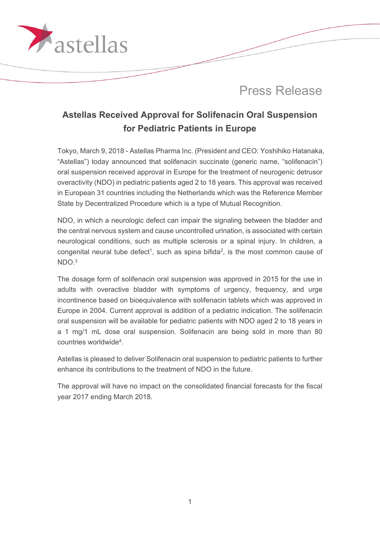

## **Astellas Received Approval for Solifenacin Oral Suspension for Pediatric Patients in Europe**

Tokyo, March 9, 2018 - Astellas Pharma Inc. (President and CEO: Yoshihiko Hatanaka, "Astellas") today announced that solifenacin succinate (generic name, "solifenacin") oral suspension received approval in Europe for the treatment of neurogenic detrusor overactivity (NDO) in pediatric patients aged 2 to 18 years. This approval was received in European 31 countries including the Netherlands which was the Reference Member State by Decentralized Procedure which is a type of Mutual Recognition.

NDO, in which a neurologic defect can impair the signaling between the bladder and the central nervous system and cause uncontrolled urination, is associated with certain neurological conditions, such as multiple sclerosis or a spinal injury. In children, a congenital neural tube defect<sup>1</sup>, such as spina bifida<sup>2</sup>, is the most common cause of NDO.3

The dosage form of solifenacin oral suspension was approved in 2015 for the use in adults with overactive bladder with symptoms of urgency, frequency, and urge incontinence based on bioequivalence with solifenacin tablets which was approved in Europe in 2004. Current approval is addition of a pediatric indication. The solifenacin oral suspension will be available for pediatric patients with NDO aged 2 to 18 years in a 1 mg/1 mL dose oral suspension. Solifenacin are being sold in more than 80 countries worldwide4.

Astellas is pleased to deliver Solifenacin oral suspension to pediatric patients to further enhance its contributions to the treatment of NDO in the future.

The approval will have no impact on the consolidated financial forecasts for the fiscal year 2017 ending March 2018.